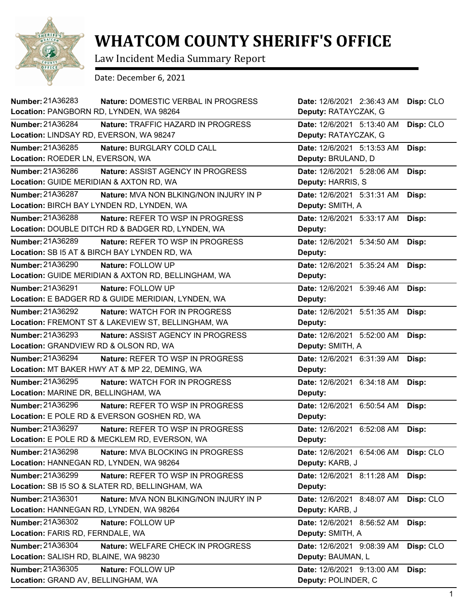

## **WHATCOM COUNTY SHERIFF'S OFFICE**

Law Incident Media Summary Report

Date: December 6, 2021

| <b>Number: 21A36283</b><br>Nature: DOMESTIC VERBAL IN PROGRESS<br>Location: PANGBORN RD, LYNDEN, WA 98264      | Date: 12/6/2021 2:36:43 AM<br>Deputy: RATAYCZAK, G | Disp: CLO |
|----------------------------------------------------------------------------------------------------------------|----------------------------------------------------|-----------|
| Number: 21A36284<br>Nature: TRAFFIC HAZARD IN PROGRESS<br>Location: LINDSAY RD, EVERSON, WA 98247              | Date: 12/6/2021 5:13:40 AM<br>Deputy: RATAYCZAK, G | Disp: CLO |
| Number: 21A36285<br>Nature: BURGLARY COLD CALL<br>Location: ROEDER LN, EVERSON, WA                             | Date: 12/6/2021 5:13:53 AM<br>Deputy: BRULAND, D   | Disp:     |
| Number: 21A36286<br>Nature: ASSIST AGENCY IN PROGRESS<br>Location: GUIDE MERIDIAN & AXTON RD, WA               | Date: 12/6/2021 5:28:06 AM<br>Deputy: HARRIS, S    | Disp:     |
| Number: 21A36287<br>Nature: MVA NON BLKING/NON INJURY IN P<br>Location: BIRCH BAY LYNDEN RD, LYNDEN, WA        | Date: 12/6/2021 5:31:31 AM<br>Deputy: SMITH, A     | Disp:     |
| Number: 21A36288<br>Nature: REFER TO WSP IN PROGRESS<br>Location: DOUBLE DITCH RD & BADGER RD, LYNDEN, WA      | Date: 12/6/2021 5:33:17 AM<br>Deputy:              | Disp:     |
| Number: 21A36289<br>Nature: REFER TO WSP IN PROGRESS<br>Location: SB I5 AT & BIRCH BAY LYNDEN RD, WA           | Date: 12/6/2021 5:34:50 AM<br>Deputy:              | Disp:     |
| Number: 21A36290<br>Nature: FOLLOW UP<br>Location: GUIDE MERIDIAN & AXTON RD, BELLINGHAM, WA                   | Date: 12/6/2021 5:35:24 AM<br>Deputy:              | Disp:     |
| Number: 21A36291<br>Nature: FOLLOW UP<br>Location: E BADGER RD & GUIDE MERIDIAN, LYNDEN, WA                    | Date: 12/6/2021 5:39:46 AM<br>Deputy:              | Disp:     |
| Number: 21A36292<br><b>Nature: WATCH FOR IN PROGRESS</b><br>Location: FREMONT ST & LAKEVIEW ST, BELLINGHAM, WA | Date: 12/6/2021 5:51:35 AM<br>Deputy:              | Disp:     |
| Number: 21A36293<br>Nature: ASSIST AGENCY IN PROGRESS<br>Location: GRANDVIEW RD & OLSON RD, WA                 | Date: 12/6/2021 5:52:00 AM<br>Deputy: SMITH, A     | Disp:     |
| Number: 21A36294<br>Nature: REFER TO WSP IN PROGRESS<br>Location: MT BAKER HWY AT & MP 22, DEMING, WA          | Date: 12/6/2021 6:31:39 AM<br>Deputy:              | Disp:     |
| Number: 21A36295<br>Nature: WATCH FOR IN PROGRESS<br>Location: MARINE DR, BELLINGHAM, WA                       | Date: 12/6/2021 6:34:18 AM<br>Deputy:              | Disp:     |
| Number: 21A36296<br>Nature: REFER TO WSP IN PROGRESS<br>Location: E POLE RD & EVERSON GOSHEN RD, WA            | Date: 12/6/2021 6:50:54 AM<br>Deputy:              | Disp:     |
| <b>Number: 21A36297</b><br>Nature: REFER TO WSP IN PROGRESS<br>Location: E POLE RD & MECKLEM RD, EVERSON, WA   | Date: 12/6/2021 6:52:08 AM<br>Deputy:              | Disp:     |
| Number: 21A36298<br>Nature: MVA BLOCKING IN PROGRESS<br>Location: HANNEGAN RD, LYNDEN, WA 98264                | Date: 12/6/2021 6:54:06 AM<br>Deputy: KARB, J      | Disp: CLO |
| Number: 21A36299<br>Nature: REFER TO WSP IN PROGRESS<br>Location: SB I5 SO & SLATER RD, BELLINGHAM, WA         | Date: 12/6/2021 8:11:28 AM<br>Deputy:              | Disp:     |
| Number: 21A36301<br>Nature: MVA NON BLKING/NON INJURY IN P<br>Location: HANNEGAN RD, LYNDEN, WA 98264          | Date: 12/6/2021 8:48:07 AM<br>Deputy: KARB, J      | Disp: CLO |
| Number: 21A36302<br>Nature: FOLLOW UP<br>Location: FARIS RD, FERNDALE, WA                                      | Date: 12/6/2021 8:56:52 AM<br>Deputy: SMITH, A     | Disp:     |
| Number: 21A36304<br>Nature: WELFARE CHECK IN PROGRESS<br>Location: SALISH RD, BLAINE, WA 98230                 | Date: 12/6/2021 9:08:39 AM<br>Deputy: BAUMAN, L    | Disp: CLO |
| Number: 21A36305<br>Nature: FOLLOW UP<br>Location: GRAND AV, BELLINGHAM, WA                                    | Date: 12/6/2021 9:13:00 AM<br>Deputy: POLINDER, C  | Disp:     |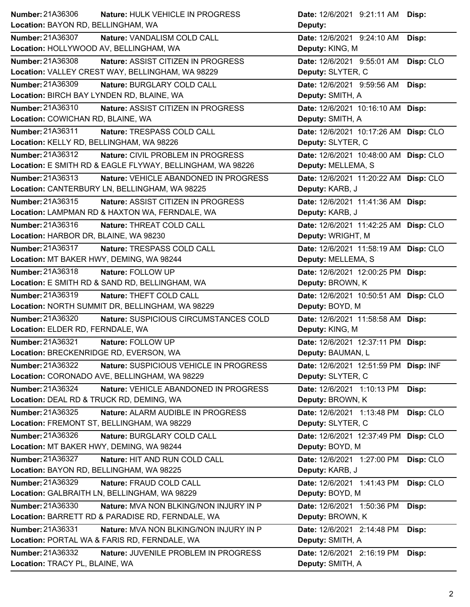| Number: 21A36306                                          | Nature: HULK VEHICLE IN PROGRESS          | Date: 12/6/2021 9:21:11 AM Disp:      |           |
|-----------------------------------------------------------|-------------------------------------------|---------------------------------------|-----------|
| Location: BAYON RD, BELLINGHAM, WA                        |                                           | Deputy:                               |           |
| <b>Number: 21A36307</b>                                   | Nature: VANDALISM COLD CALL               | Date: 12/6/2021 9:24:10 AM            | Disp:     |
| Location: HOLLYWOOD AV, BELLINGHAM, WA                    |                                           | Deputy: KING, M                       |           |
| Number: 21A36308                                          | Nature: ASSIST CITIZEN IN PROGRESS        | Date: 12/6/2021 9:55:01 AM            | Disp: CLO |
| Location: VALLEY CREST WAY, BELLINGHAM, WA 98229          |                                           | Deputy: SLYTER, C                     |           |
| <b>Number: 21A36309</b>                                   | Nature: BURGLARY COLD CALL                | Date: 12/6/2021 9:59:56 AM            | Disp:     |
| Location: BIRCH BAY LYNDEN RD, BLAINE, WA                 |                                           | Deputy: SMITH, A                      |           |
| Number: 21A36310                                          | Nature: ASSIST CITIZEN IN PROGRESS        | Date: 12/6/2021 10:16:10 AM Disp:     |           |
| Location: COWICHAN RD, BLAINE, WA                         |                                           | Deputy: SMITH, A                      |           |
| Number: 21A36311                                          | Nature: TRESPASS COLD CALL                | Date: 12/6/2021 10:17:26 AM Disp: CLO |           |
| Location: KELLY RD, BELLINGHAM, WA 98226                  |                                           | Deputy: SLYTER, C                     |           |
| Number: 21A36312                                          | Nature: CIVIL PROBLEM IN PROGRESS         | Date: 12/6/2021 10:48:00 AM Disp: CLO |           |
| Location: E SMITH RD & EAGLE FLYWAY, BELLINGHAM, WA 98226 |                                           | Deputy: MELLEMA, S                    |           |
| Number: 21A36313                                          | Nature: VEHICLE ABANDONED IN PROGRESS     | Date: 12/6/2021 11:20:22 AM Disp: CLO |           |
| Location: CANTERBURY LN, BELLINGHAM, WA 98225             |                                           | Deputy: KARB, J                       |           |
| Number: 21A36315                                          | <b>Nature: ASSIST CITIZEN IN PROGRESS</b> | Date: 12/6/2021 11:41:36 AM Disp:     |           |
| Location: LAMPMAN RD & HAXTON WA, FERNDALE, WA            |                                           | Deputy: KARB, J                       |           |
| Number: 21A36316                                          | Nature: THREAT COLD CALL                  | Date: 12/6/2021 11:42:25 AM Disp: CLO |           |
| Location: HARBOR DR, BLAINE, WA 98230                     |                                           | Deputy: WRIGHT, M                     |           |
| <b>Number: 21A36317</b>                                   | Nature: TRESPASS COLD CALL                | Date: 12/6/2021 11:58:19 AM Disp: CLO |           |
| Location: MT BAKER HWY, DEMING, WA 98244                  |                                           | Deputy: MELLEMA, S                    |           |
| Number: 21A36318<br>Nature: FOLLOW UP                     |                                           | Date: 12/6/2021 12:00:25 PM Disp:     |           |
| Location: E SMITH RD & SAND RD, BELLINGHAM, WA            |                                           | Deputy: BROWN, K                      |           |
| Number: 21A36319                                          | Nature: THEFT COLD CALL                   | Date: 12/6/2021 10:50:51 AM Disp: CLO |           |
| Location: NORTH SUMMIT DR, BELLINGHAM, WA 98229           |                                           | Deputy: BOYD, M                       |           |
| Number: 21A36320                                          | Nature: SUSPICIOUS CIRCUMSTANCES COLD     | Date: 12/6/2021 11:58:58 AM Disp:     |           |
| Location: ELDER RD, FERNDALE, WA                          |                                           | Deputy: KING, M                       |           |
| Number: 21A36321<br>Nature: FOLLOW UP                     |                                           | Date: 12/6/2021 12:37:11 PM Disp:     |           |
| Location: BRECKENRIDGE RD, EVERSON, WA                    |                                           | Deputy: BAUMAN, L                     |           |
| Number: 21A36322                                          | Nature: SUSPICIOUS VEHICLE IN PROGRESS    | Date: 12/6/2021 12:51:59 PM Disp: INF |           |
| Location: CORONADO AVE, BELLINGHAM, WA 98229              |                                           | Deputy: SLYTER, C                     |           |
| Number: 21A36324                                          | Nature: VEHICLE ABANDONED IN PROGRESS     | Date: 12/6/2021 1:10:13 PM            | Disp:     |
| Location: DEAL RD & TRUCK RD, DEMING, WA                  |                                           | Deputy: BROWN, K                      |           |
| Number: 21A36325                                          | Nature: ALARM AUDIBLE IN PROGRESS         | Date: 12/6/2021 1:13:48 PM            | Disp: CLO |
| Location: FREMONT ST, BELLINGHAM, WA 98229                |                                           | Deputy: SLYTER, C                     |           |
| Number: 21A36326                                          | Nature: BURGLARY COLD CALL                | Date: 12/6/2021 12:37:49 PM Disp: CLO |           |
| Location: MT BAKER HWY, DEMING, WA 98244                  |                                           | Deputy: BOYD, M                       |           |
| Number: 21A36327                                          | Nature: HIT AND RUN COLD CALL             | Date: 12/6/2021 1:27:00 PM            | Disp: CLO |
| Location: BAYON RD, BELLINGHAM, WA 98225                  |                                           | Deputy: KARB, J                       |           |
| Number: 21A36329                                          | Nature: FRAUD COLD CALL                   | Date: 12/6/2021 1:41:43 PM            | Disp: CLO |
| Location: GALBRAITH LN, BELLINGHAM, WA 98229              |                                           | Deputy: BOYD, M                       |           |
| Number: 21A36330                                          | Nature: MVA NON BLKING/NON INJURY IN P    | Date: 12/6/2021 1:50:36 PM            | Disp:     |
| Location: BARRETT RD & PARADISE RD, FERNDALE, WA          |                                           | Deputy: BROWN, K                      |           |
| Number: 21A36331                                          | Nature: MVA NON BLKING/NON INJURY IN P    | Date: 12/6/2021 2:14:48 PM            | Disp:     |
| Location: PORTAL WA & FARIS RD, FERNDALE, WA              |                                           | Deputy: SMITH, A                      |           |
| Number: 21A36332                                          | Nature: JUVENILE PROBLEM IN PROGRESS      | Date: 12/6/2021 2:16:19 PM            | Disp:     |
| Location: TRACY PL, BLAINE, WA                            |                                           | Deputy: SMITH, A                      |           |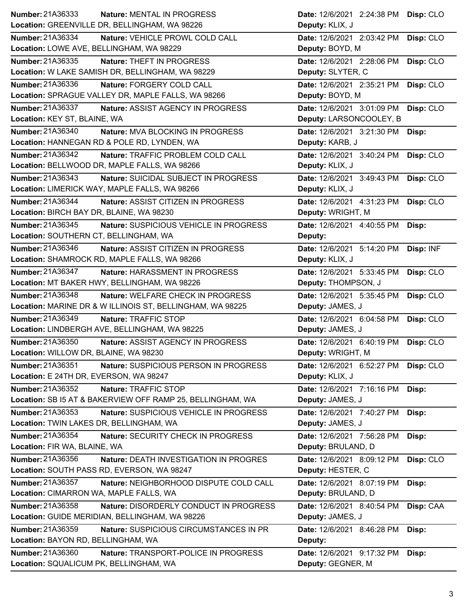| <b>Number: 21A36333</b><br>Nature: MENTAL IN PROGRESS                                                | Date: 12/6/2021 2:24:38 PM Disp: CLO                      |
|------------------------------------------------------------------------------------------------------|-----------------------------------------------------------|
| Location: GREENVILLE DR, BELLINGHAM, WA 98226                                                        | Deputy: KLIX, J                                           |
| Number: 21A36334<br>Nature: VEHICLE PROWL COLD CALL                                                  | Date: 12/6/2021 2:03:42 PM<br>Disp: CLO                   |
| Location: LOWE AVE, BELLINGHAM, WA 98229                                                             | Deputy: BOYD, M                                           |
| Number: 21A36335<br>Nature: THEFT IN PROGRESS                                                        | Date: 12/6/2021 2:28:06 PM<br>Disp: CLO                   |
| Location: W LAKE SAMISH DR, BELLINGHAM, WA 98229                                                     | Deputy: SLYTER, C                                         |
| <b>Number: 21A36336</b><br>Nature: FORGERY COLD CALL                                                 | Date: 12/6/2021 2:35:21 PM<br>Disp: CLO                   |
| Location: SPRAGUE VALLEY DR, MAPLE FALLS, WA 98266                                                   | Deputy: BOYD, M                                           |
| Number: 21A36337<br>Nature: ASSIST AGENCY IN PROGRESS                                                | Date: 12/6/2021 3:01:09 PM<br>Disp: CLO                   |
| Location: KEY ST, BLAINE, WA                                                                         | Deputy: LARSONCOOLEY, B                                   |
| Number: 21A36340<br>Nature: MVA BLOCKING IN PROGRESS                                                 | Date: 12/6/2021 3:21:30 PM<br>Disp:                       |
| Location: HANNEGAN RD & POLE RD, LYNDEN, WA                                                          | Deputy: KARB, J                                           |
| Number: 21A36342<br>Nature: TRAFFIC PROBLEM COLD CALL                                                | Date: 12/6/2021 3:40:24 PM<br>Disp: CLO                   |
| Location: BELLWOOD DR, MAPLE FALLS, WA 98266                                                         | Deputy: KLIX, J                                           |
| Number: 21A36343<br>Nature: SUICIDAL SUBJECT IN PROGRESS                                             | Date: 12/6/2021 3:49:43 PM<br>Disp: CLO                   |
| Location: LIMERICK WAY, MAPLE FALLS, WA 98266                                                        | Deputy: KLIX, J                                           |
| Number: 21A36344<br>Nature: ASSIST CITIZEN IN PROGRESS                                               | Date: 12/6/2021 4:31:23 PM<br>Disp: CLO                   |
| Location: BIRCH BAY DR, BLAINE, WA 98230                                                             | Deputy: WRIGHT, M                                         |
| Number: 21A36345<br>Nature: SUSPICIOUS VEHICLE IN PROGRESS                                           | Date: 12/6/2021 4:40:55 PM<br>Disp:                       |
| Location: SOUTHERN CT, BELLINGHAM, WA                                                                | Deputy:                                                   |
| Number: 21A36346<br>Nature: ASSIST CITIZEN IN PROGRESS                                               | Disp: INF<br>Date: 12/6/2021 5:14:20 PM                   |
| Location: SHAMROCK RD, MAPLE FALLS, WA 98266                                                         | Deputy: KLIX, J                                           |
| Number: 21A36347<br>Nature: HARASSMENT IN PROGRESS                                                   | Disp: CLO<br>Date: 12/6/2021 5:33:45 PM                   |
| Location: MT BAKER HWY, BELLINGHAM, WA 98226                                                         | Deputy: THOMPSON, J                                       |
| <b>Number: 21A36348</b><br>Nature: WELFARE CHECK IN PROGRESS                                         | Date: 12/6/2021 5:35:45 PM<br>Disp: CLO                   |
| Location: MARINE DR & W ILLINOIS ST, BELLINGHAM, WA 98225                                            | Deputy: JAMES, J                                          |
| Number: 21A36349<br>Nature: TRAFFIC STOP                                                             | Date: 12/6/2021 6:04:58 PM<br>Disp: CLO                   |
| Location: LINDBERGH AVE, BELLINGHAM, WA 98225                                                        | Deputy: JAMES, J                                          |
| <b>Number: 21A36350</b><br>Nature: ASSIST AGENCY IN PROGRESS                                         | Date: 12/6/2021 6:40:19 PM<br>Disp: CLO                   |
| Location: WILLOW DR, BLAINE, WA 98230                                                                | Deputy: WRIGHT, M                                         |
| Number: 21A36351<br>Nature: SUSPICIOUS PERSON IN PROGRESS                                            | Date: 12/6/2021 6:52:27 PM<br>Disp: CLO                   |
| Location: E 24TH DR, EVERSON, WA 98247                                                               | Deputy: KLIX, J                                           |
| Number: 21A36352<br>Nature: TRAFFIC STOP                                                             | Date: 12/6/2021 7:16:16 PM<br>Disp:                       |
| Location: SB I5 AT & BAKERVIEW OFF RAMP 25, BELLINGHAM, WA                                           | Deputy: JAMES, J                                          |
| Number: 21A36353<br>Nature: SUSPICIOUS VEHICLE IN PROGRESS                                           | Date: 12/6/2021 7:40:27 PM<br>Disp:                       |
| Location: TWIN LAKES DR, BELLINGHAM, WA                                                              | Deputy: JAMES, J                                          |
| Number: 21A36354                                                                                     | Date: 12/6/2021 7:56:28 PM                                |
| Nature: SECURITY CHECK IN PROGRESS<br>Location: FIR WA, BLAINE, WA                                   | Disp:<br>Deputy: BRULAND, D                               |
| Number: 21A36356<br>Nature: DEATH INVESTIGATION IN PROGRES                                           | Date: 12/6/2021 8:09:12 PM                                |
| Location: SOUTH PASS RD, EVERSON, WA 98247                                                           | Disp: CLO<br>Deputy: HESTER, C                            |
|                                                                                                      |                                                           |
| Number: 21A36357<br>Nature: NEIGHBORHOOD DISPUTE COLD CALL<br>Location: CIMARRON WA, MAPLE FALLS, WA | Date: 12/6/2021 8:07:19 PM<br>Disp:<br>Deputy: BRULAND, D |
|                                                                                                      |                                                           |
| Number: 21A36358<br>Nature: DISORDERLY CONDUCT IN PROGRESS                                           | Disp: CAA<br>Date: 12/6/2021 8:40:54 PM                   |
| Location: GUIDE MERIDIAN, BELLINGHAM, WA 98226                                                       | Deputy: JAMES, J                                          |
| Number: 21A36359<br>Nature: SUSPICIOUS CIRCUMSTANCES IN PR                                           | Date: 12/6/2021 8:46:28 PM<br>Disp:                       |
| Location: BAYON RD, BELLINGHAM, WA                                                                   | Deputy:                                                   |
| Number: 21A36360<br>Nature: TRANSPORT-POLICE IN PROGRESS                                             | Date: 12/6/2021 9:17:32 PM<br>Disp:                       |
| Location: SQUALICUM PK, BELLINGHAM, WA                                                               | Deputy: GEGNER, M                                         |